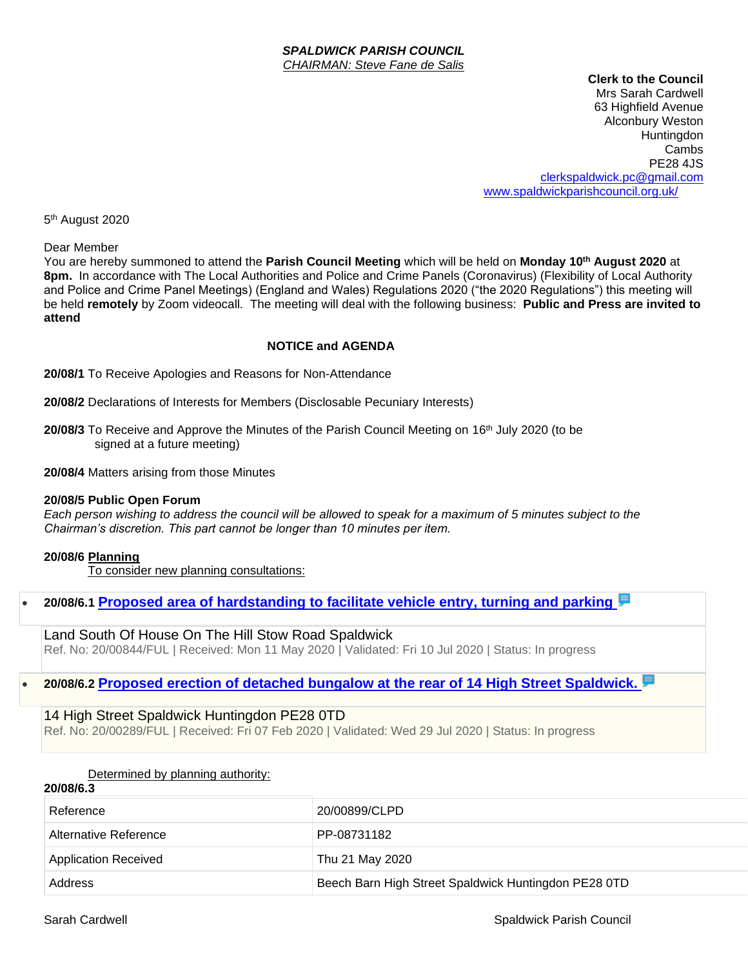#### *SPALDWICK PARISH COUNCIL CHAIRMAN: Steve Fane de Salis*

**Clerk to the Council**

Mrs Sarah Cardwell 63 Highfield Avenue Alconbury Weston **Huntingdon** Cambs PE28 4JS [clerkspaldwick.pc@gmail.com](mailto:clerkspaldwick.pc@gmail.com) [www.spaldwickparishcouncil.org.uk/](http://www.spaldwickparishcouncil.org.uk/)

5<sup>th</sup> August 2020

Dear Member

You are hereby summoned to attend the **Parish Council Meeting** which will be held on **Monday 10 th August 2020** at **8pm.** In accordance with The Local Authorities and Police and Crime Panels (Coronavirus) (Flexibility of Local Authority and Police and Crime Panel Meetings) (England and Wales) Regulations 2020 ("the 2020 Regulations") this meeting will be held **remotely** by Zoom videocall. The meeting will deal with the following business: **Public and Press are invited to attend**

### **NOTICE and AGENDA**

**20/08/1** To Receive Apologies and Reasons for Non-Attendance

**20/08/2** Declarations of Interests for Members (Disclosable Pecuniary Interests)

**20/08/3** To Receive and Approve the Minutes of the Parish Council Meeting on 16th July 2020 (to be signed at a future meeting)

**20/08/4** Matters arising from those Minutes

#### **20/08/5 Public Open Forum**

*Each person wishing to address the council will be allowed to speak for a maximum of 5 minutes subject to the Chairman's discretion. This part cannot be longer than 10 minutes per item.* 

#### **20/08/6 Planning**

To consider new planning consultations:

• **20/08/6.1 [Proposed area of hardstanding to facilitate vehicle entry, turning and parking](https://publicaccess.huntingdonshire.gov.uk/online-applications/applicationDetails.do?keyVal=QA5NNFIKKTU00&activeTab=summary)**

Land South Of House On The Hill Stow Road Spaldwick Ref. No: 20/00844/FUL | Received: Mon 11 May 2020 | Validated: Fri 10 Jul 2020 | Status: In progress

# • **20/08/6.2 [Proposed erection of detached bungalow at the rear of 14 High Street Spaldwick.](https://publicaccess.huntingdonshire.gov.uk/online-applications/applicationDetails.do?keyVal=Q5H8W7IK0HH00&activeTab=summary)**

# 14 High Street Spaldwick Huntingdon PE28 0TD

Ref. No: 20/00289/FUL | Received: Fri 07 Feb 2020 | Validated: Wed 29 Jul 2020 | Status: In progress

|          | Determined by planning authority: |  |  |
|----------|-----------------------------------|--|--|
| 20/08/63 |                                   |  |  |

| Reference                   | 20/00899/CLPD                                        |  |  |
|-----------------------------|------------------------------------------------------|--|--|
| Alternative Reference       | PP-08731182                                          |  |  |
| <b>Application Received</b> | Thu 21 May 2020                                      |  |  |
| Address                     | Beech Barn High Street Spaldwick Huntingdon PE28 0TD |  |  |